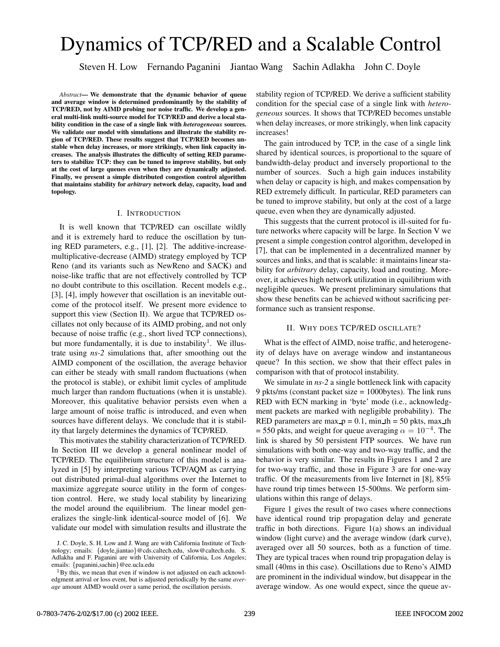# Dynamics of TCP/RED and a Scalable Control

Steven H. Low Fernando Paganini Jiantao Wang Sachin Adlakha John C. Doyle

*Abstract***— We demonstrate that the dynamic behavior of queue and average window is determined predominantly by the stability of TCP/RED, not by AIMD probing nor noise traffic. We develop a general multi-link multi-source model for TCP/RED and derive a local stability condition in the case of a single link with** *heterogeneous* **sources. We validate our model with simulations and illustrate the stability region of TCP/RED. These results suggest that TCP/RED becomes unstable when delay increases, or more strikingly, when link capacity increases. The analysis illustrates the difficulty of setting RED parameters to stabilize TCP: they can be tuned to improve stability, but only at the cost of large queues even when they are dynamically adjusted. Finally, we present a simple distributed congestion control algorithm that maintains stability for** *arbitrary* **network delay, capacity, load and topology.**

#### I. INTRODUCTION

It is well known that TCP/RED can oscillate wildly and it is extremely hard to reduce the oscillation by tuning RED parameters, e.g., [1], [2]. The additive-increasemultiplicative-decrease (AIMD) strategy employed by TCP Reno (and its variants such as NewReno and SACK) and noise-like traffic that are not effectively controlled by TCP no doubt contribute to this oscillation. Recent models e.g., [3], [4], imply however that oscillation is an inevitable outcome of the protocol itself. We present more evidence to support this view (Section II). We argue that TCP/RED oscillates not only because of its AIMD probing, and not only because of noise traffic (e.g., short lived TCP connections), but more fundamentally, it is due to instability<sup>1</sup>. We illustrate using *ns-2* simulations that, after smoothing out the AIMD component of the oscillation, the average behavior can either be steady with small random fluctuations (when the protocol is stable), or exhibit limit cycles of amplitude much larger than random fluctuations (when it is unstable). Moreover, this qualitative behavior persists even when a large amount of noise traffic is introduced, and even when sources have different delays. We conclude that it is stability that largely determines the dynamics of TCP/RED.

This motivates the stability characterization of TCP/RED. In Section III we develop a general nonlinear model of TCP/RED. The equilibrium structure of this model is analyzed in [5] by interpreting various TCP/AQM as carrying out distributed primal-dual algorithms over the Internet to maximize aggregate source utility in the form of congestion control. Here, we study local stability by linearizing the model around the equilibrium. The linear model generalizes the single-link identical-source model of [6]. We validate our model with simulation results and illustrate the

stability region of TCP/RED. We derive a sufficient stability condition for the special case of a single link with *heterogeneous* sources. It shows that TCP/RED becomes unstable when delay increases, or more strikingly, when link capacity increases!

The gain introduced by TCP, in the case of a single link shared by identical sources, is proportional to the square of bandwidth-delay product and inversely proportional to the number of sources. Such a high gain induces instability when delay or capacity is high, and makes compensation by RED extremely difficult. In particular, RED parameters can be tuned to improve stability, but only at the cost of a large queue, even when they are dynamically adjusted.

This suggests that the current protocol is ill-suited for future networks where capacity will be large. In Section V we present a simple congestion control algorithm, developed in [7], that can be implemented in a decentralized manner by sources and links, and that is scalable: it maintains linear stability for *arbitrary* delay, capacity, load and routing. Moreover, it achieves high network utilization in equilibrium with negligible queues. We present preliminary simulations that show these benefits can be achieved without sacrificing performance such as transient response.

# II. WHY DOES TCP/RED OSCILLATE?

What is the effect of AIMD, noise traffic, and heterogeneity of delays have on average window and instantaneous queue? In this section, we show that their effect pales in comparison with that of protocol instability.

We simulate in *ns-2* a single bottleneck link with capacity 9 pkts/ms (constant packet size = 1000bytes). The link runs RED with ECN marking in 'byte' mode (i.e., acknowledgment packets are marked with negligible probability). The RED parameters are max  $p = 0.1$ , min th = 50 pkts, max th = 550 pkts, and weight for queue averaging  $\alpha = 10^{-4}$ . The link is shared by 50 persistent FTP sources. We have run simulations with both one-way and two-way traffic, and the behavior is very similar. The results in Figures 1 and 2 are for two-way traffic, and those in Figure 3 are for one-way traffic. Of the measurements from live Internet in [8], 85% have round trip times between 15-500ms. We perform simulations within this range of delays.

Figure 1 gives the result of two cases where connections have identical round trip propagation delay and generate traffic in both directions. Figure 1(a) shows an individual window (light curve) and the average window (dark curve), averaged over all 50 sources, both as a function of time. They are typical traces when round trip propagation delay is small (40ms in this case). Oscillations due to Reno's AIMD are prominent in the individual window, but disappear in the average window. As one would expect, since the queue av-

J. C. Doyle, S. H. Low and J. Wang are with California Institute of Technology; emails: *{*doyle,jiantao*}*@cds.caltech.edu, slow@caltech.edu. S. Adlakha and F. Paganini are with University of California, Los Angeles; emails: {paganini,sachin}@ee.ucla.edu

<sup>&</sup>lt;sup>1</sup>By this, we mean that even if window is not adjusted on each acknowledgment arrival or loss event, but is adjusted periodically by the same *average* amount AIMD would over a same period, the oscillation persists.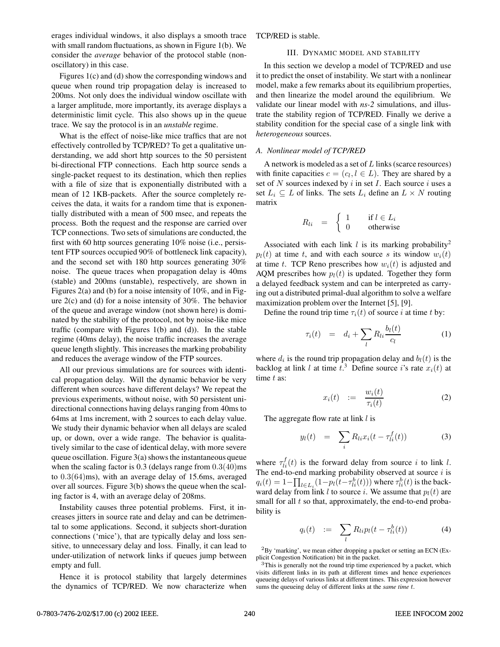erages individual windows, it also displays a smooth trace with small random fluctuations, as shown in Figure 1(b). We consider the *average* behavior of the protocol stable (nonoscillatory) in this case.

Figures 1(c) and (d) show the corresponding windows and queue when round trip propagation delay is increased to 200ms. Not only does the individual window oscillate with a larger amplitude, more importantly, its average displays a deterministic limit cycle. This also shows up in the queue trace. We say the protocol is in an *unstable* regime.

What is the effect of noise-like mice traffics that are not effectively controlled by TCP/RED? To get a qualitative understanding, we add short http sources to the 50 persistent bi-directional FTP connections. Each http source sends a single-packet request to its destination, which then replies with a file of size that is exponentially distributed with a mean of 12 1KB-packets. After the source completely receives the data, it waits for a random time that is exponentially distributed with a mean of 500 msec, and repeats the process. Both the request and the response are carried over TCP connections. Two sets of simulations are conducted, the first with 60 http sources generating 10% noise (i.e., persistent FTP sources occupied 90% of bottleneck link capacity), and the second set with 180 http sources generating 30% noise. The queue traces when propagation delay is 40ms (stable) and 200ms (unstable), respectively, are shown in Figures 2(a) and (b) for a noise intensity of 10%, and in Figure 2(c) and (d) for a noise intensity of 30%. The behavior of the queue and average window (not shown here) is dominated by the stability of the protocol, not by noise-like mice traffic (compare with Figures 1(b) and (d)). In the stable regime (40ms delay), the noise traffic increases the average queue length slightly. This increases the marking probability and reduces the average window of the FTP sources.

All our previous simulations are for sources with identical propagation delay. Will the dynamic behavior be very different when sources have different delays? We repeat the previous experiments, without noise, with 50 persistent unidirectional connections having delays ranging from 40ms to 64ms at 1ms increment, with 2 sources to each delay value. We study their dynamic behavior when all delays are scaled up, or down, over a wide range. The behavior is qualitatively similar to the case of identical delay, with more severe queue oscillation. Figure 3(a) shows the instantaneous queue when the scaling factor is  $0.3$  (delays range from  $0.3(40)$ ms to 0.3(64)ms), with an average delay of 15.6ms, averaged over all sources. Figure 3(b) shows the queue when the scaling factor is 4, with an average delay of 208ms.

Instability causes three potential problems. First, it increases jitters in source rate and delay and can be detrimental to some applications. Second, it subjects short-duration connections ('mice'), that are typically delay and loss sensitive, to unnecessary delay and loss. Finally, it can lead to under-utilization of network links if queues jump between empty and full.

Hence it is protocol stability that largely determines the dynamics of TCP/RED. We now characterize when TCP/RED is stable.

# III. DYNAMIC MODEL AND STABILITY

In this section we develop a model of TCP/RED and use it to predict the onset of instability. We start with a nonlinear model, make a few remarks about its equilibrium properties, and then linearize the model around the equilibrium. We validate our linear model with *ns-2* simulations, and illustrate the stability region of TCP/RED. Finally we derive a stability condition for the special case of a single link with *heterogeneous* sources.

### *A. Nonlinear model of TCP/RED*

A network is modeled as a set of L links (scarce resources) with finite capacities  $c = (c_l, l \in L)$ . They are shared by a set of  $N$  sources indexed by  $i$  in set  $I$ . Each source  $i$  uses a set  $L_i \subseteq L$  of links. The sets  $L_i$  define an  $L \times N$  routing matrix

$$
R_{li} = \begin{cases} 1 & \text{if } l \in L_i \\ 0 & \text{otherwise} \end{cases}
$$

Associated with each link  $l$  is its marking probability<sup>2</sup>  $p_l(t)$  at time t, and with each source s its window  $w_i(t)$ at time t. TCP Reno prescribes how  $w_i(t)$  is adjusted and AQM prescribes how  $p_l(t)$  is updated. Together they form a delayed feedback system and can be interpreted as carrying out a distributed primal-dual algorithm to solve a welfare maximization problem over the Internet [5], [9].

Define the round trip time  $\tau_i(t)$  of source i at time t by:

$$
\tau_i(t) = d_i + \sum_l R_{li} \frac{b_l(t)}{c_l} \tag{1}
$$

where  $d_i$  is the round trip propagation delay and  $b_l(t)$  is the backlog at link l at time  $\hat{t}$ .<sup>3</sup> Define source i's rate  $x_i(t)$  at time t as: time t as:

$$
x_i(t) := \frac{w_i(t)}{\tau_i(t)}
$$
 (2)

The aggregate flow rate at link  $l$  is

$$
y_l(t) = \sum_i R_{li} x_i(t - \tau_{li}^f(t)) \tag{3}
$$

where  $\tau_{li}^f(t)$  is the forward delay from source i to link l.<br>The end-to-end marking probability observed at source i is The end-to-end marking probability observed at source  $i$  is  $q_i(t) = 1 - \prod_{l \in L_i} (1 - p_l(t - \tau_{li}^b(t)))$  where  $\tau_{li}^b(t)$  is the back-<br>ward delay from link *l* to source *i*. We assume that  $p_i(t)$  are ward delay from link *l* to source *i*. We assume that  $p_l(t)$  are small for all  $t$  so that, approximately, the end-to-end probability is

$$
q_i(t) \quad := \quad \sum_l R_{li} p_l(t - \tau_{li}^b(t)) \tag{4}
$$

 ${}^{2}$ By 'marking', we mean either dropping a packet or setting an ECN (Explicit Congestion Notification) bit in the packet.

<sup>&</sup>lt;sup>3</sup>This is generally not the round trip time experienced by a packet, which visits different links in its path at different times and hence experiences queueing delays of various links at different times. This expression however sums the queueing delay of different links at the *same time* t.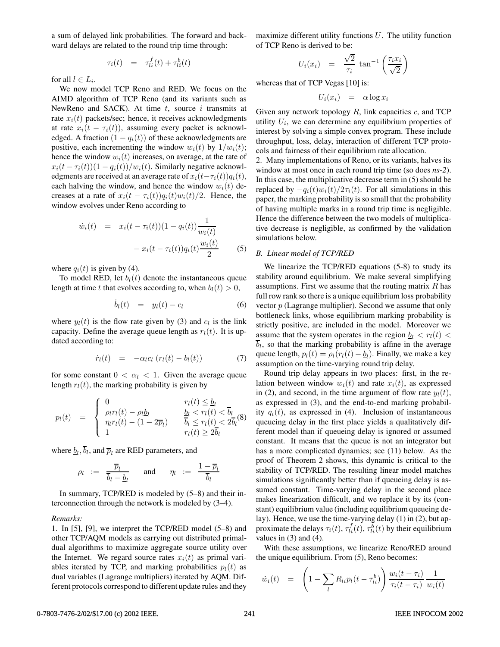a sum of delayed link probabilities. The forward and backward delays are related to the round trip time through:

$$
\tau_i(t) = \tau_{li}^f(t) + \tau_{li}^b(t)
$$

for all  $l \in L_i$ .

We now model TCP Reno and RED. We focus on the AIMD algorithm of TCP Reno (and its variants such as NewReno and SACK). At time  $t$ , source  $i$  transmits at rate  $x_i(t)$  packets/sec; hence, it receives acknowledgments at rate  $x_i(t - \tau_i(t))$ , assuming every packet is acknowledged. A fraction  $(1 - q_i(t))$  of these acknowledgments are positive, each incrementing the window  $w_i(t)$  by  $1/w_i(t)$ ; hence the window  $w_i(t)$  increases, on average, at the rate of  $x_i(t - \tau_i(t))(1 - q_i(t))/w_i(t)$ . Similarly negative acknowledgments are received at an average rate of  $x_i(t-\tau_i(t))q_i(t)$ , each halving the window, and hence the window  $w_i(t)$  decreases at a rate of  $x_i(t - \tau_i(t))q_i(t)w_i(t)/2$ . Hence, the window evolves under Reno according to

$$
\dot{w}_i(t) = x_i(t - \tau_i(t))(1 - q_i(t)) \frac{1}{w_i(t)}
$$

$$
- x_i(t - \tau_i(t)) q_i(t) \frac{w_i(t)}{2}
$$
(5)

where  $q_i(t)$  is given by (4).

To model RED, let  $b_l(t)$  denote the instantaneous queue length at time t that evolves according to, when  $b_l(t) > 0$ ,

$$
\dot{b}_l(t) = y_l(t) - c_l \tag{6}
$$

where  $y_l(t)$  is the flow rate given by (3) and  $c_l$  is the link capacity. Define the average queue length as  $r_l(t)$ . It is updated according to:

$$
\dot{r}_l(t) = -\alpha_l c_l \left( r_l(t) - b_l(t) \right) \tag{7}
$$

for some constant  $0 < \alpha_l < 1$ . Given the average queue length  $r_l(t)$ , the marking probability is given by

$$
p_l(t) = \begin{cases} 0 & r_l(t) \leq \underline{b}_l \\ \rho_l r_l(t) - \rho_l \underline{b}_l & \underline{b}_l < r_l(t) < \overline{b}_l \\ \eta_l r_l(t) - (1 - 2\overline{p}_l) & \overline{b}_l \leq r_l(t) < 2\overline{b}_l \end{cases} (8)
$$

where  $\underline{b}_l$ ,  $\overline{b}_l$ , and  $\overline{p}_l$  are RED parameters, and

$$
\rho_l \ := \ \frac{\overline{p}_l}{\overline{b}_l - \underline{b}_l} \qquad \text{and} \qquad \eta_l \ := \ \frac{1 - \overline{p}_l}{\overline{b}_l}
$$

In summary, TCP/RED is modeled by (5–8) and their interconnection through the network is modeled by (3–4).

#### *Remarks:*

1. In [5], [9], we interpret the TCP/RED model (5–8) and other TCP/AQM models as carrying out distributed primaldual algorithms to maximize aggregate source utility over the Internet. We regard source rates  $x_i(t)$  as primal variables iterated by TCP, and marking probabilities  $p_l(t)$  as dual variables (Lagrange multipliers) iterated by AQM. Different protocols correspond to different update rules and they

maximize different utility functions  $U$ . The utility function of TCP Reno is derived to be:

$$
U_i(x_i) = \frac{\sqrt{2}}{\tau_i} \tan^{-1} \left( \frac{\tau_i x_i}{\sqrt{2}} \right)
$$

whereas that of TCP Vegas [10] is:

$$
U_i(x_i) = \alpha \log x_i
$$

Given any network topology  $R$ , link capacities  $c$ , and TCP utility  $U_i$ , we can determine any equilibrium properties of interest by solving a simple convex program. These include throughput, loss, delay, interaction of different TCP protocols and fairness of their equilibrium rate allocation.

2. Many implementations of Reno, or its variants, halves its window at most once in each round trip time (so does *ns-2*). In this case, the multiplicative decrease term in (5) should be replaced by  $-q_i(t)w_i(t)/2\tau_i(t)$ . For all simulations in this paper, the marking probability is so small that the probability of having multiple marks in a round trip time is negligible. Hence the difference between the two models of multiplicative decrease is negligible, as confirmed by the validation simulations below.

#### *B. Linear model of TCP/RED*

We linearize the TCP/RED equations (5-8) to study its stability around equilibrium. We make several simplifying assumptions. First we assume that the routing matrix  $R$  has full row rank so there is a unique equilibrium loss probability vector  $p$  (Lagrange multiplier). Second we assume that only bottleneck links, whose equilibrium marking probability is strictly positive, are included in the model. Moreover we assume that the system operates in the region  $b_l < r_l(t)$  $b_l$ , so that the marking probability is affine in the average queue length,  $p_l(t) = \rho_l(r_l(t) - b_l)$ . Finally, we make a key assumption on the time-varying round trip delay.

Round trip delay appears in two places: first, in the relation between window  $w_i(t)$  and rate  $x_i(t)$ , as expressed in (2), and second, in the time argument of flow rate  $y_l(t)$ , as expressed in (3), and the end-to-end marking probability  $q_i(t)$ , as expressed in (4). Inclusion of instantaneous queueing delay in the first place yields a qualitatively different model than if queueing delay is ignored or assumed constant. It means that the queue is not an integrator but has a more complicated dynamics; see (11) below. As the proof of Theorem 2 shows, this dynamic is critical to the stability of TCP/RED. The resulting linear model matches simulations significantly better than if queueing delay is assumed constant. Time-varying delay in the second place makes linearization difficult, and we replace it by its (constant) equilibrium value (including equilibrium queueing delay). Hence, we use the time-varying delay (1) in (2), but approximate the delays  $\tau_i(t)$ ,  $\tau_{li}^f(t)$ ,  $\tau_{li}^b(t)$  by their equilibrium<br>values in (3) and (4) values in  $(3)$  and  $(4)$ .

With these assumptions, we linearize Reno/RED around the unique equilibrium. From (5), Reno becomes:

$$
\dot{w}_i(t) = \left(1 - \sum_l R_{li} p_l(t - \tau_{li}^b)\right) \frac{w_i(t - \tau_i)}{\tau_i(t - \tau_i)} \frac{1}{w_i(t)}
$$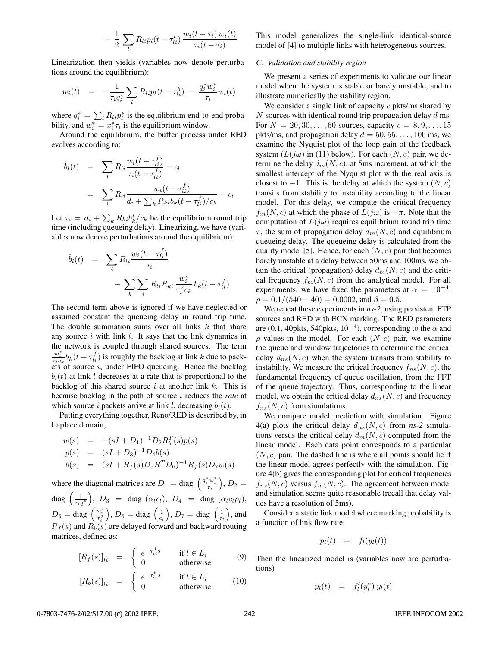$$
-\frac{1}{2}\sum_{l}R_{li}p_l(t-\tau_{li}^b)\frac{w_i(t-\tau_i)w_i(t)}{\tau_i(t-\tau_i)}
$$

Linearization then yields (variables now denote perturbations around the equilibrium):

$$
\dot{w}_i(t) = -\frac{1}{\tau_i q_i^*} \sum_l R_{li} p_l(t - \tau_{li}^b) - \frac{q_i^* w_i^*}{\tau_i} w_i(t)
$$

where  $q_i^* = \sum_l R_{li} p_l^*$  is the equilibrium end-to-end proba-<br>bility and  $w^* = x^* \tau$  is the equilibrium window bility, and  $w_i^* = x_i^* \tau_i$  is the equilibrium window.<br>Around the equilibrium the buffer process

Around the equilibrium, the buffer process under RED evolves according to:

$$
\dot{b}_{l}(t) = \sum_{l} R_{li} \frac{w_{i}(t - \tau_{li}^{f})}{\tau_{i}(t - \tau_{li}^{f})} - c_{l}
$$
\n
$$
= \sum_{l} R_{li} \frac{w_{i}(t - \tau_{li}^{f})}{d_{i} + \sum_{k} R_{ki} b_{k}(t - \tau_{li}^{f})/c_{k}} - c_{l}
$$

Let  $\tau_i = d_i + \sum_k R_{ki} b_k^* / c_k$  be the equilibrium round trip time (including queueing delay). I inegrizing we have (varitime (including queueing delay). Linearizing, we have (variables now denote perturbations around the equilibrium):

$$
\dot{b}_{l}(t) = \sum_{i} R_{li} \frac{w_{i}(t - \tau_{li}^{f})}{\tau_{i}} - \sum_{k} \sum_{i} R_{li} R_{ki} \frac{w_{i}^{*}}{\tau_{i}^{2} c_{k}} b_{k}(t - \tau_{li}^{f})
$$

The second term above is ignored if we have neglected or assumed constant the queueing delay in round trip time. The double summation sums over all links  $k$  that share any source  $i$  with link  $l$ . It says that the link dynamics in the network is coupled through shared sources. The term  $\frac{w_i^*}{\tau_i c_k} b_k(t - \tau_{li}^f)$  is roughly the backlog at link k due to packets of source i, under FIFO queueing. Hence the backlog  $b_l(t)$  at link l decreases at a rate that is proportional to the backlog of this shared source  $i$  at another link  $k$ . This is because backlog in the path of source i reduces the *rate* at which source i packets arrive at link l, decreasing  $b_l(t)$ .

Putting everything together, Reno/RED is described by, in Laplace domain,

$$
w(s) = -(sI + D_1)^{-1}D_2R_b^T(s)p(s)
$$
  
\n
$$
p(s) = (sI + D_3)^{-1}D_4b(s)
$$
  
\n
$$
b(s) = (sI + R_f(s)D_5R^TD_6)^{-1}R_f(s)D_7w(s)
$$

where the diagonal matrices are  $D_1 = \text{diag} \left( \frac{q_i^* w_i^*}{\tau_i} \right), D_2 =$ diag  $\left(\frac{1}{\tau_i q_i^*}\right)$ ),  $D_3 = \text{diag}(\alpha_l c_l)$ ,  $D_4 = \text{diag}(\alpha_l c_l \rho_l)$ ,  $D_5 = \text{diag} \left( \frac{w_i^*}{\tau_i^2} \right)$  $\left( \frac{1}{c_l} \right), D_7 = \text{diag} \left( \frac{1}{\tau_i} \right), \text{and}$  $R_f(s)$  and  $R_b(s)$  are delayed forward and backward routing matrices, defined as:

$$
[R_f(s)]_{li} = \begin{cases} e^{-\tau_{li}^f s} & \text{if } l \in L_i \\ 0 & \text{otherwise} \end{cases}
$$
 (9)

$$
[R_b(s)]_{li} = \begin{cases} e^{-\tau_{li}^b s} & \text{if } l \in L_i \\ 0 & \text{otherwise} \end{cases}
$$
 (10)

This model generalizes the single-link identical-source model of [4] to multiple links with heterogeneous sources.

# *C. Validation and stability region*

We present a series of experiments to validate our linear model when the system is stable or barely unstable, and to illustrate numerically the stability region.

We consider a single link of capacity  $c$  pkts/ms shared by  $N$  sources with identical round trip propagation delay  $d$  ms. For  $N = 20, 30, ..., 60$  sources, capacity  $c = 8, 9, ..., 15$ pkts/ms, and propagation delay  $d = 50, 55, \ldots, 100$  ms, we examine the Nyquist plot of the loop gain of the feedback system  $(L(i\omega))$  in (11) below). For each  $(N, c)$  pair, we determine the delay  $d_m(N, c)$ , at 5ms increment, at which the smallest intercept of the Nyquist plot with the real axis is closest to  $-1$ . This is the delay at which the system  $(N, c)$ transits from stability to instability according to the linear model. For this delay, we compute the critical frequency  $f_m(N, c)$  at which the phase of  $L(j\omega)$  is  $-\pi$ . Note that the computation of  $L(j\omega)$  requires equilibrium round trip time  $\tau$ , the sum of propagation delay  $d_m(N, c)$  and equilibrium queueing delay. The queueing delay is calculated from the duality model [5]. Hence, for each  $(N, c)$  pair that becomes barely unstable at a delay between 50ms and 100ms, we obtain the critical (propagation) delay  $d_m(N, c)$  and the critical frequency  $f_m(N, c)$  from the analytical model. For all experiments, we have fixed the parameters at  $\alpha = 10^{-4}$ ,  $\rho = 0.1/(540 - 40) = 0.0002$ , and  $\beta = 0.5$ .

We repeat these experiments in *ns-2*, using persistent FTP sources and RED with ECN marking. The RED parameters are (0.1, 40pkts, 540pkts,  $10^{-4}$ ), corresponding to the  $\alpha$  and  $\rho$  values in the model. For each  $(N, c)$  pair, we examine the queue and window trajectories to determine the critical delay  $d_{ns}(N, c)$  when the system transits from stability to instability. We measure the critical frequency  $f_{ns}(N, c)$ , the fundamental frequency of queue oscillation, from the FFT of the queue trajectory. Thus, corresponding to the linear model, we obtain the critical delay  $d_{ns}(N, c)$  and frequency  $f_{ns}(N, c)$  from simulations.

We compare model prediction with simulation. Figure 4(a) plots the critical delay  $d_{ns}(N, c)$  from *ns*-2 simulations versus the critical delay  $d_m(N, c)$  computed from the linear model. Each data point corresponds to a particular  $(N, c)$  pair. The dashed line is where all points should lie if the linear model agrees perfectly with the simulation. Figure 4(b) gives the corresponding plot for critical frequencies  $f_{ns}(N, c)$  versus  $f_m(N, c)$ . The agreement between model and simulation seems quite reasonable (recall that delay values have a resolution of 5ms).

Consider a static link model where marking probability is a function of link flow rate:

$$
p_l(t) = f_l(y_l(t))
$$

Then the linearized model is (variables now are perturbations)

$$
p_l(t) = f'_l(y_l^*) y_l(t)
$$

# 0-7803-7476-2/02/\$17.00 (c) 2002 IEEE. 242 IEEE INFOCOM 2002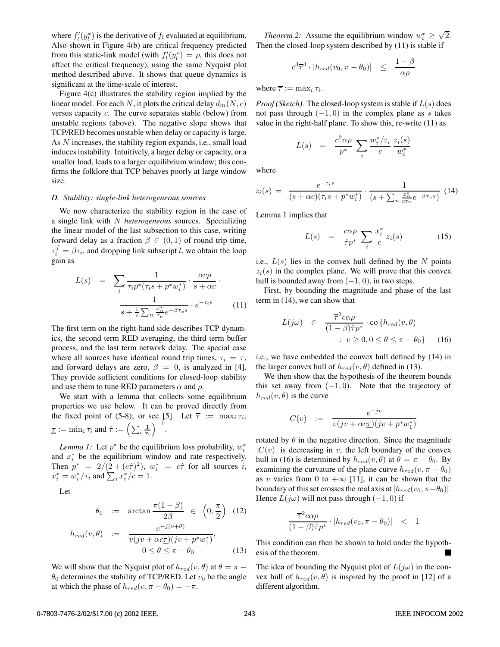where  $f_l'(y_l^*)$  is the derivative of  $f_l$  evaluated at equilibrium.<br>Also shown in Figure 4(b) are critical frequency predicted Also shown in Figure 4(b) are critical frequency predicted from this static-link model (with  $f_l'(y_l^*) = \rho$ , this does not affect the critical frequency) using the same Nyquist plot affect the critical frequency), using the same Nyquist plot method described above. It shows that queue dynamics is significant at the time-scale of interest.

Figure 4(c) illustrates the stability region implied by the linear model. For each N, it plots the critical delay  $d_m(N, c)$ versus capacity c. The curve separates stable (below) from unstable regions (above). The negative slope shows that TCP/RED becomes unstable when delay or capacity is large. As N increases, the stability region expands, i.e., small load induces instability. Intuitively, a larger delay or capacity, or a smaller load, leads to a larger equilibrium window; this confirms the folklore that TCP behaves poorly at large window size.

#### *D. Stability: single-link heterogeneous sources*

We now characterize the stability region in the case of a single link with N *heterogeneous* sources. Specializing the linear model of the last subsection to this case, writing forward delay as a fraction  $\beta \in (0,1)$  of round trip time,  $\tau_i^f = \beta \tau_i$ , and dropping link subscript l, we obtain the loop gain as

$$
L(s) = \sum_{i} \frac{1}{\tau_i p^* (\tau_i s + p^* w_i^*)} \cdot \frac{\alpha c \rho}{s + \alpha c} \cdot \frac{1}{s + \frac{1}{c} \sum_{n} \frac{x_n^*}{\tau_n} e^{-\beta \tau_n s}} \cdot e^{-\tau_i s} \qquad (11)
$$

The first term on the right-hand side describes TCP dynamics, the second term RED averaging, the third term buffer process, and the last term network delay. The special case where all sources have identical round trip times,  $\tau_i = \tau$ , and forward delays are zero,  $\beta = 0$ , is analyzed in [4]. They provide sufficient conditions for closed-loop stability and use them to tune RED parameters  $\alpha$  and  $\rho$ .

We start with a lemma that collects some equilibrium properties we use below. It can be proved directly from the fixed point of (5-8); or see [5]. Let  $\overline{\tau} := \max_i \tau_i$ ,  $\underline{\tau} := \min_i \tau_i$  and  $\hat{\tau} := \left(\sum_i \frac{1}{\tau_i}\right)^{-1}$ .

*Lemma 1:* Let  $p^*$  be the equilibrium loss probability,  $w_i^*$ and  $x_i^*$  be the equilibrium window and rate respectively. Then  $p^* = 2/(2 + (c\hat{\tau})^2)$ ,  $w_i^* = c\hat{\tau}$  for all sources *i*,<br> $x^* = w^*/\tau$  and  $\sum x^*/c = 1$  $x_i^* = w_i^* / \tau_i$  and  $\sum_i x_i^* / c = 1$ .

Let

$$
\theta_0 := \arctan \frac{\pi (1 - \beta)}{2\beta} \in \left(0, \frac{\pi}{2}\right) \quad (12)
$$

$$
h_{red}(v,\theta) := \frac{e^{-j(v+\theta)}}{v(jv + \alpha c\underline{\tau})(jv + p^*w_1^*)},
$$
  

$$
0 \le \theta \le \pi - \theta_0
$$
 (13)

We will show that the Nyquist plot of  $h_{red}(v, \theta)$  at  $\theta = \pi \theta_0$  determines the stability of TCP/RED. Let  $v_0$  be the angle at which the phase of  $h_{red}(v, \pi - \theta_0) = -\pi$ .

*Theorem 2:* Assume the equilibrium window  $w_i^* \geq \sqrt{2}$ .<br>Len the closed-loop system described by (11) is stable if Then the closed-loop system described by (11) is stable if

$$
c^3\overline{\tau}^3\cdot|h_{red}(v_0,\pi-\theta_0)|\quad\leq\quad \frac{1-\beta}{\alpha\rho}
$$

where  $\overline{\tau} := \max_i \tau_i$ .

*Proof (Sketch)*. The closed-loop system is stable if  $L(s)$  does not pass through  $(-1, 0)$  in the complex plane as s takes value in the right-half plane. To show this, re-write (11) as

$$
L(s) = \frac{c^2 \alpha \rho}{p^*} \sum_i \frac{w_i^*/\tau_i}{c} \frac{z_i(s)}{w_i^*}
$$

where

$$
z_i(s) = \frac{e^{-\tau_i s}}{(s + \alpha c)(\tau_i s + p^* w_i^*)} \cdot \frac{1}{(s + \sum_n \frac{x_n^*}{c\tau_n} e^{-\beta \tau_n s})}
$$
(14)

Lemma 1 implies that

$$
L(s) = \frac{c\alpha\rho}{\hat{\tau}p^*} \sum_{i} \frac{x_i^*}{c} z_i(s) \tag{15}
$$

i.e.,  $L(s)$  lies in the convex hull defined by the N points  $z_i(s)$  in the complex plane. We will prove that this convex hull is bounded away from  $(-1, 0)$ , in two steps.

First, by bounding the magnitude and phase of the last term in (14), we can show that

$$
L(j\omega) \in \frac{\overline{\tau}^2 c\alpha \rho}{(1-\beta)\hat{\tau}p^*} \cdot \text{co} \{h_{red}(v,\theta) \\
\vdots v \ge 0, 0 \le \theta \le \pi - \theta_0\} \qquad (16)
$$

i.e., we have embedded the convex hull defined by (14) in the larger convex hull of  $h_{red}(v, \theta)$  defined in (13).

We then show that the hypothesis of the theorem bounds this set away from  $(-1, 0)$ . Note that the trajectory of  $h_{red}(v, \theta)$  is the curve

$$
C(v) \quad := \quad \frac{e^{-jv}}{v(jv + \alpha c \underline{\tau})(jv + p^*w_1^*)}
$$

rotated by  $\theta$  in the negative direction. Since the magnitude  $|C(v)|$  is decreasing in v, the left boundary of the convex hull in (16) is determined by  $h_{red}(v, \theta)$  at  $\theta = \pi - \theta_0$ . By examining the curvature of the plane curve  $h_{red}(v, \pi - \theta_0)$ as v varies from 0 to  $+\infty$  [11], it can be shown that the boundary of this set crosses the real axis at  $|h_{red}(v_0, \pi-\theta_0)|$ . Hence  $L(j\omega)$  will not pass through  $(-1, 0)$  if

$$
\frac{\overline{\tau}^2 c \alpha \rho}{(1 - \beta)\hat{\tau} p^*} \cdot |h_{red}(v_0, \pi - \theta_0)| \quad < \quad 1
$$

This condition can then be shown to hold under the hypothesis of the theorem.

The idea of bounding the Nyquist plot of  $L(j\omega)$  in the convex hull of  $h_{red}(v, \theta)$  is inspired by the proof in [12] of a different algorithm.

#### 0-7803-7476-2/02/\$17.00 (c) 2002 IEEE. 243 243 IEEE INFOCOM 2002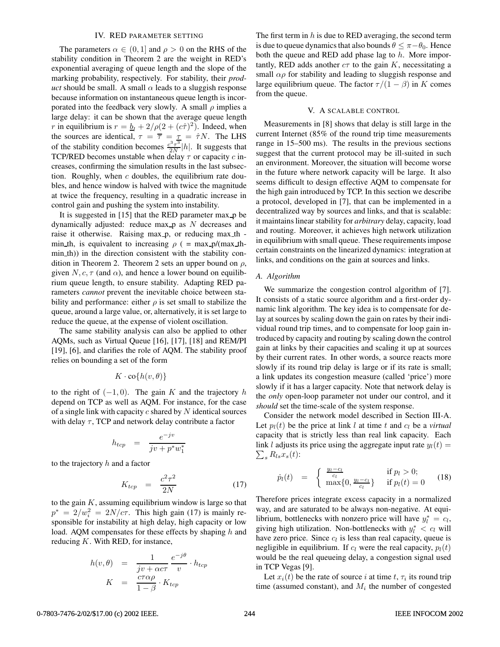#### IV. RED PARAMETER SETTING

The parameters  $\alpha \in (0,1]$  and  $\rho > 0$  on the RHS of the stability condition in Theorem 2 are the weight in RED's exponential averaging of queue length and the slope of the marking probability, respectively. For stability, their *product* should be small. A small  $\alpha$  leads to a sluggish response because information on instantaneous queue length is incorporated into the feedback very slowly. A small  $\rho$  implies a large delay: it can be shown that the average queue length r in equilibrium is  $r = b_l + 2/\rho(2 + (c\hat{\tau})^2)$ . Indeed, when the sources are identical,  $\tau = \overline{\tau} = \frac{\tau}{2} = \hat{\tau}N$ . The LHS of the stability condition becomes  $\frac{c^3 \tau^3}{2N} |h|$ . It suggests that TCP/RED becomes unstable when delay  $\tau$  or capacity  $c$  increases, confirming the simulation results in the last subsection. Roughly, when  $c$  doubles, the equilibrium rate doubles, and hence window is halved with twice the magnitude at twice the frequency, resulting in a quadratic increase in control gain and pushing the system into instability.

It is suggested in [15] that the RED parameter max p be dynamically adjusted: reduce max  $p$  as  $N$  decreases and raise it otherwise. Raising max p, or reducing max th min th, is equivalent to increasing  $\rho$  ( = max  $p/(max_t h$ min th)) in the direction consistent with the stability condition in Theorem 2. Theorem 2 sets an upper bound on  $\rho$ , given  $N, c, \tau$  (and  $\alpha$ ), and hence a lower bound on equilibrium queue length, to ensure stability. Adapting RED parameters *cannot* prevent the inevitable choice between stability and performance: either  $\rho$  is set small to stabilize the queue, around a large value, or, alternatively, it is set large to reduce the queue, at the expense of violent oscillation.

The same stability analysis can also be applied to other AQMs, such as Virtual Queue [16], [17], [18] and REM/PI [19], [6], and clarifies the role of AQM. The stability proof relies on bounding a set of the form

$$
K\cdot\mathrm{co}\{h(v,\theta)\}
$$

to the right of  $(-1, 0)$ . The gain K and the trajectory h depend on TCP as well as AQM. For instance, for the case of a single link with capacity  $c$  shared by  $N$  identical sources with delay  $\tau$ , TCP and network delay contribute a factor

$$
h_{tcp} = \frac{e^{-jv}}{jv + p^*w_1^*}
$$

to the trajectory  $h$  and a factor

$$
K_{tcp} = \frac{c^2 \tau^2}{2N} \tag{17}
$$

 $K_{top} = \frac{2N}{2N}$  (17)<br>to the gain K, assuming equilibrium window is large so that  $p^* = 2/w_i^2 = 2N/c\tau$ . This high gain (17) is mainly re-<br>sponsible for instability at high delay high canacity or low sponsible for instability at high delay, high capacity or low load. AQM compensates for these effects by shaping h and reducing  $K$ . With RED, for instance,

$$
h(v, \theta) = \frac{1}{jv + \alpha c \tau} \frac{e^{-j\theta}}{v} \cdot h_{tcp}
$$

$$
K = \frac{c\tau \alpha \rho}{1 - \beta} \cdot K_{tcp}
$$

The first term in  $h$  is due to RED averaging, the second term is due to queue dynamics that also bounds  $\theta \leq \pi - \theta_0$ . Hence both the queue and RED add phase lag to  $h$ . More importantly, RED adds another  $c\tau$  to the gain K, necessitating a small  $\alpha \rho$  for stability and leading to sluggish response and large equilibrium queue. The factor  $\tau/(1 - \beta)$  in K comes from the queue.

#### V. A SCALABLE CONTROL

Measurements in [8] shows that delay is still large in the current Internet (85% of the round trip time measurements range in 15–500 ms). The results in the previous sections suggest that the current protocol may be ill-suited in such an environment. Moreover, the situation will become worse in the future where network capacity will be large. It also seems difficult to design effective AQM to compensate for the high gain introduced by TCP. In this section we describe a protocol, developed in [7], that can be implemented in a decentralized way by sources and links, and that is scalable: it maintains linear stability for *arbitrary* delay, capacity, load and routing. Moreover, it achieves high network utilization in equilibrium with small queue. These requirements impose certain constraints on the linearized dynamics: integration at links, and conditions on the gain at sources and links.

#### *A. Algorithm*

We summarize the congestion control algorithm of [7]. It consists of a static source algorithm and a first-order dynamic link algorithm. The key idea is to compensate for delay at sources by scaling down the gain on rates by their individual round trip times, and to compensate for loop gain introduced by capacity and routing by scaling down the control gain at links by their capacities and scaling it up at sources by their current rates. In other words, a source reacts more slowly if its round trip delay is large or if its rate is small; a link updates its congestion measure (called 'price') more slowly if it has a larger capacity. Note that network delay is the *only* open-loop parameter not under our control, and it *should* set the time-scale of the system response.

Consider the network model described in Section III-A. Let  $p_l(t)$  be the price at link l at time t and  $c_l$  be a *virtual* capacity that is strictly less than real link capacity. Each link l adjusts its price using the aggregate input rate  $y_l(t) = \sum_{i=1}^{n} B_i x_i(t)$ .  $\sum_{s} R_{ls}x_s(t)$ :

$$
\dot{p}_l(t) = \begin{cases} \frac{y_l - c_l}{c_l} & \text{if } p_l > 0; \\ \max\{0, \frac{y_l - c_l}{c_l}\} & \text{if } p_l(t) = 0 \end{cases}
$$
 (18)

Therefore prices integrate excess capacity in a normalized way, and are saturated to be always non-negative. At equilibrium, bottlenecks with nonzero price will have  $y_t^* = c_l$ , giving high utilization. Non-bottlenecks with  $y_t^* \leq c_l$  will giving high utilization. Non-bottlenecks with  $y_l^* < c_l$  will have zero price. Since  $c_l$  is less than real capacity, queue is negligible in equilibrium. If  $c_l$  were the real capacity,  $p_l(t)$ would be the real queueing delay, a congestion signal used in TCP Vegas [9].

Let  $x_i(t)$  be the rate of source i at time t,  $\tau_i$  its round trip time (assumed constant), and  $M_i$  the number of congested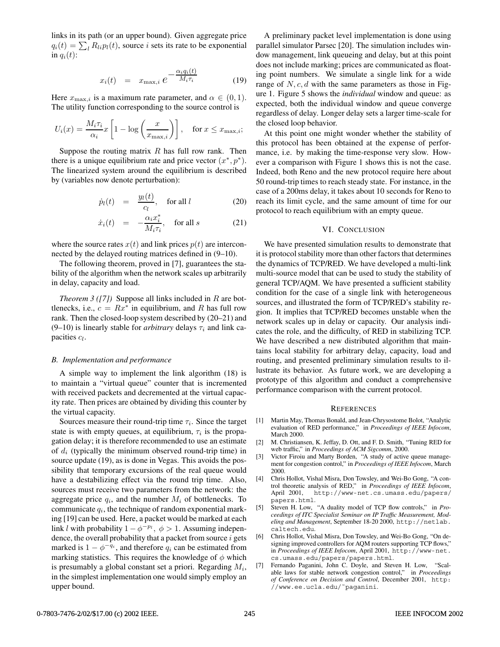links in its path (or an upper bound). Given aggregate price  $q_i(t) = \sum_{l} R_{li} p_l(t)$ , source *i* sets its rate to be exponential in  $q_i(t)$ :

$$
x_i(t) = x_{\max,i} e^{-\frac{\alpha_i q_i(t)}{M_i \tau_i}}
$$
(19)

Here  $x_{\text{max},i}$  is a maximum rate parameter, and  $\alpha \in (0,1)$ . The utility function corresponding to the source control is

$$
U_i(x) = \frac{M_i \tau_i}{\alpha_i} x \left[ 1 - \log \left( \frac{x}{x_{\text{max},i}} \right) \right], \quad \text{for } x \leq x_{\text{max},i};
$$

Suppose the routing matrix  $R$  has full row rank. Then there is a unique equilibrium rate and price vector  $(x^*, p^*)$ . The linearized system around the equilibrium is described by (variables now denote perturbation):

$$
\dot{p}_l(t) = \frac{y_l(t)}{c_l}, \quad \text{for all } l \tag{20}
$$

$$
\dot{x}_i(t) = -\frac{\alpha_i x_i^*}{M_i \tau_i}, \quad \text{for all } s \tag{21}
$$

where the source rates  $x(t)$  and link prices  $p(t)$  are interconnected by the delayed routing matrices defined in (9–10).

The following theorem, proved in [7], guarantees the stability of the algorithm when the network scales up arbitrarily in delay, capacity and load.

*Theorem 3 ([7])* Suppose all links included in R are bottlenecks, i.e.,  $c = Rx^*$  in equilibrium, and R has full row rank. Then the closed-loop system described by (20–21) and (9–10) is linearly stable for *arbitrary* delays  $\tau_i$  and link capacities  $c_l$ .

## *B. Implementation and performance*

A simple way to implement the link algorithm (18) is to maintain a "virtual queue" counter that is incremented with received packets and decremented at the virtual capacity rate. Then prices are obtained by dividing this counter by the virtual capacity.

Sources measure their round-trip time  $\tau_i$ . Since the target state is with empty queues, at equilibrium,  $\tau_i$  is the propagation delay; it is therefore recommended to use an estimate of  $d_i$  (typically the minimum observed round-trip time) in source update (19), as is done in Vegas. This avoids the possibility that temporary excursions of the real queue would have a destabilizing effect via the round trip time. Also, sources must receive two parameters from the network: the aggregate price  $q_i$ , and the number  $M_i$  of bottlenecks. To communicate  $q_i$ , the technique of random exponential marking [19] can be used. Here, a packet would be marked at each link l with probability  $1 - \phi^{-p_i}$ ,  $\phi > 1$ . Assuming independence, the overall probability that a packet from source  $i$  gets marked is  $1 - \phi^{-q_i}$ , and therefore  $q_i$  can be estimated from marking statistics. This requires the knowledge of  $\phi$  which is presumably a global constant set a priori. Regarding  $M_i$ , in the simplest implementation one would simply employ an upper bound.

A preliminary packet level implementation is done using parallel simulator Parsec [20]. The simulation includes window management, link queueing and delay, but at this point does not include marking; prices are communicated as floating point numbers. We simulate a single link for a wide range of  $N, c, d$  with the same parameters as those in Figure 1. Figure 5 shows the *individual* window and queue: as expected, both the individual window and queue converge regardless of delay. Longer delay sets a larger time-scale for the closed loop behavior.

At this point one might wonder whether the stability of this protocol has been obtained at the expense of performance, i.e. by making the time-response very slow. However a comparison with Figure 1 shows this is not the case. Indeed, both Reno and the new protocol require here about 50 round-trip times to reach steady state. For instance, in the case of a 200ms delay, it takes about 10 seconds for Reno to reach its limit cycle, and the same amount of time for our protocol to reach equilibrium with an empty queue.

### VI. CONCLUSION

We have presented simulation results to demonstrate that it is protocol stability more than other factors that determines the dynamics of TCP/RED. We have developed a multi-link multi-source model that can be used to study the stability of general TCP/AQM. We have presented a sufficient stability condition for the case of a single link with heterogeneous sources, and illustrated the form of TCP/RED's stability region. It implies that TCP/RED becomes unstable when the network scales up in delay or capacity. Our analysis indicates the role, and the difficulty, of RED in stabilizing TCP. We have described a new distributed algorithm that maintains local stability for arbitrary delay, capacity, load and routing, and presented preliminary simulation results to illustrate its behavior. As future work, we are developing a prototype of this algorithm and conduct a comprehensive performance comparison with the current protocol.

#### **REFERENCES**

- [1] Martin May, Thomas Bonald, and Jean-Chrysostome Bolot, "Analytic evaluation of RED performance," in *Proceedings of IEEE Infocom*, March 2000.
- [2] M. Christiansen, K. Jeffay, D. Ott, and F. D. Smith, "Tuning RED for web traffic," in *Proceedings of ACM Sigcomm*, 2000.
- [3] Victor Firoiu and Marty Borden, "A study of active queue management for congestion control," in *Proceedings of IEEE Infocom*, March 2000.
- [4] Chris Hollot, Vishal Misra, Don Towsley, and Wei-Bo Gong, "A control theoretic analysis of RED," in *Proceedings of IEEE Infocom*, April 2001, http://www-net.cs.umass.edu/papers/ papers.html.
- [5] Steven H. Low, "A duality model of TCP flow controls," in *Proceedings of ITC Specialist Seminar on IP Traffic Measurement, Modeling and Management*, September 18-20 2000, http://netlab. caltech.edu.
- [6] Chris Hollot, Vishal Misra, Don Towsley, and Wei-Bo Gong, "On designing improved controllers for AQM routers supporting TCP flows," in *Proceedings of IEEE Infocom*, April 2001, http://www-net. cs.umass.edu/papers/papers.html.
- [7] Fernando Paganini, John C. Doyle, and Steven H. Low, "Scalable laws for stable network congestion control," in *Proceedings of Conference on Decision and Control*, December 2001, http: //www.ee.ucla.edu/˜paganini.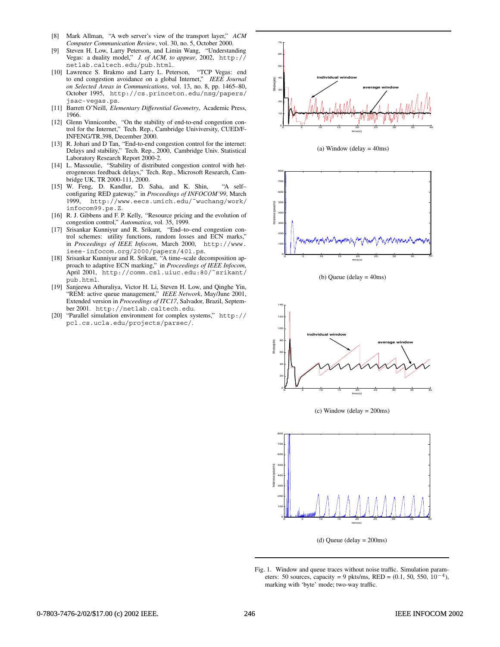- [8] Mark Allman, "A web server's view of the transport layer," *ACM Computer Communication Review*, vol. 30, no. 5, October 2000.
- [9] Steven H. Low, Larry Peterson, and Limin Wang, "Understanding Vegas: a duality model," *J. of ACM, to appear*, 2002, http:// netlab.caltech.edu/pub.html.
- [10] Lawrence S. Brakmo and Larry L. Peterson, "TCP Vegas: end to end congestion avoidance on a global Internet," *IEEE Journal on Selected Areas in Communications*, vol. 13, no. 8, pp. 1465–80, October 1995, http://cs.princeton.edu/nsg/papers/ jsac-vegas.ps.
- [11] Barrett O'Neill, *Elementary Differential Geometry*, Academic Press, 1966.
- [12] Glenn Vinnicombe, "On the stability of end-to-end congestion control for the Internet," Tech. Rep., Cambridge Univiversity, CUED/F-INFENG/TR.398, December 2000.
- [13] R. Johari and D Tan, "End-to-end congestion control for the internet: Delays and stability," Tech. Rep., 2000, Cambridge Univ. Statistical Laboratory Research Report 2000-2.
- [14] L. Massoulie, "Stability of distributed congestion control with heterogeneous feedback delays," Tech. Rep., Microsoft Research, Cambridge UK, TR 2000-111, 2000.
- [15] W. Feng, D. Kandlur, D. Saha, and K. Shin, "A self– configuring RED gateway," in *Proceedings of INFOCOM'99*, March 1999, http://www.eecs.umich.edu/˜wuchang/work/ infocom99.ps.Z.
- [16] R. J. Gibbens and F. P. Kelly, "Resource pricing and the evolution of congestion control," *Automatica*, vol. 35, 1999.
- [17] Srisankar Kunniyur and R. Srikant, "End–to–end congestion control schemes: utility functions, random losses and ECN marks," in *Proceedings of IEEE Infocom*, March 2000, http://www. ieee-infocom.org/2000/papers/401.ps.
- [18] Srisankar Kunniyur and R. Srikant, "A time–scale decomposition approach to adaptive ECN marking," in *Proceedings of IEEE Infocom*, April 2001, http://comm.csl.uiuc.edu:80/˜srikant/ pub.html.
- [19] Sanjeewa Athuraliya, Victor H. Li, Steven H. Low, and Qinghe Yin, "REM: active queue management," *IEEE Network*, May/June 2001, Extended version in *Proceedings of ITC17*, Salvador, Brazil, September 2001. http://netlab.caltech.edu.
- [20] "Parallel simulation environment for complex systems," http:// pcl.cs.ucla.edu/projects/parsec/.



(a) Window (delay  $=$  40ms)



(b) Queue (delay = 40ms)



(c) Window (delay = 200ms)



(d) Queue (delay = 200ms)

Fig. 1. Window and queue traces without noise traffic. Simulation parameters: 50 sources, capacity = 9 pkts/ms, RED = (0.1, 50, 550, 10*−*4), marking with 'byte' mode; two-way traffic.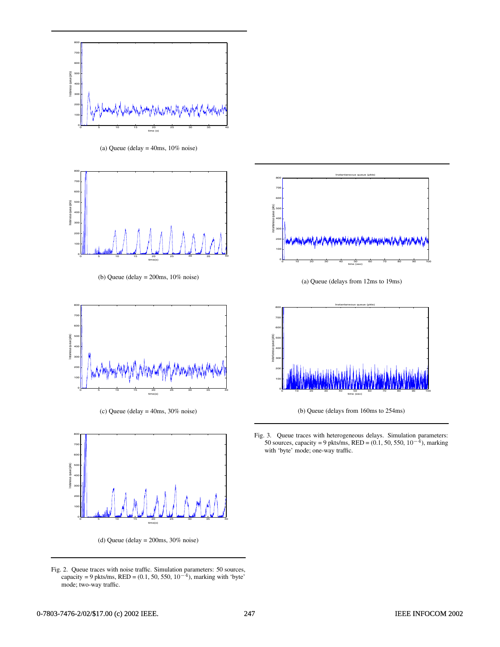

(a) Queue (delay  $=$  40ms, 10% noise)



(b) Queue (delay  $=$  200ms, 10% noise)



(c) Queue (delay = 40ms, 30% noise)



(d) Queue (delay =  $200 \text{ms}$ ,  $30\%$  noise)

Fig. 2. Queue traces with noise traffic. Simulation parameters: 50 sources, capacity = 9 pkts/ms, RED = (0.1, 50, 550, 10*−*4), marking with 'byte' mode; two-way traffic.



(a) Queue (delays from 12ms to 19ms)



(b) Queue (delays from 160ms to 254ms)

Fig. 3. Queue traces with heterogeneous delays. Simulation parameters: 50 sources, capacity = 9 pkts/ms, RED = (0.1, 50, 550, 10*−*4), marking with 'byte' mode; one-way traffic.